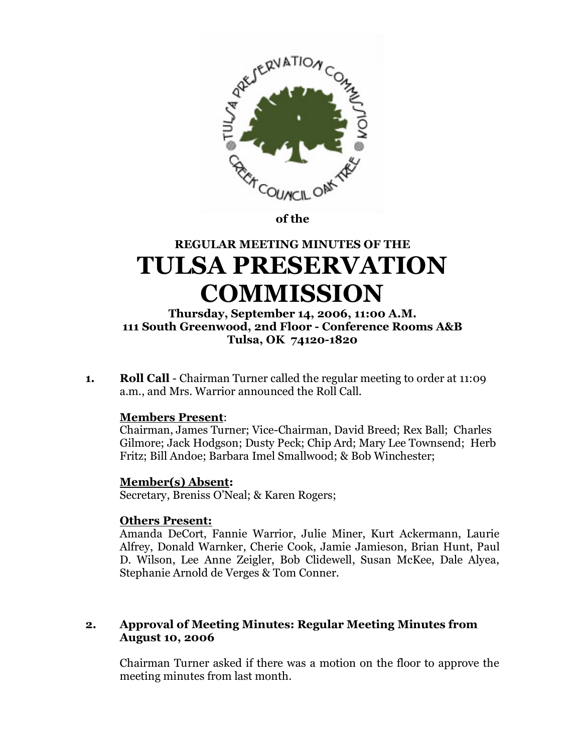

**of the** 

# **REGULAR MEETING MINUTES OF THE TULSA PRESERVATION COMMISSION**

## **Thursday, September 14, 2006, 11:00 A.M. 111 South Greenwood, 2nd Floor - Conference Rooms A&B Tulsa, OK 74120-1820**

**1. Roll Call** - Chairman Turner called the regular meeting to order at 11:09 a.m., and Mrs. Warrior announced the Roll Call.

## **Members Present**:

Chairman, James Turner; Vice-Chairman, David Breed; Rex Ball; Charles Gilmore; Jack Hodgson; Dusty Peck; Chip Ard; Mary Lee Townsend; Herb Fritz; Bill Andoe; Barbara Imel Smallwood; & Bob Winchester;

## **Member(s) Absent:**

Secretary, Breniss O'Neal; & Karen Rogers;

## **Others Present:**

Amanda DeCort, Fannie Warrior, Julie Miner, Kurt Ackermann, Laurie Alfrey, Donald Warnker, Cherie Cook, Jamie Jamieson, Brian Hunt, Paul D. Wilson, Lee Anne Zeigler, Bob Clidewell, Susan McKee, Dale Alyea, Stephanie Arnold de Verges & Tom Conner.

# **2. Approval of Meeting Minutes: Regular Meeting Minutes from August 10, 2006**

Chairman Turner asked if there was a motion on the floor to approve the meeting minutes from last month.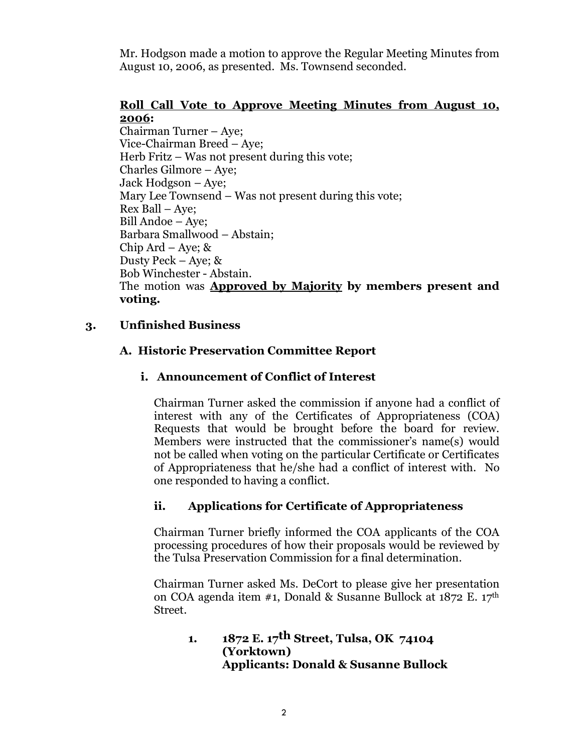Mr. Hodgson made a motion to approve the Regular Meeting Minutes from August 10, 2006, as presented. Ms. Townsend seconded.

# **Roll Call Vote to Approve Meeting Minutes from August 10, 2006:**

Chairman Turner – Aye; Vice-Chairman Breed – Aye; Herb Fritz – Was not present during this vote; Charles Gilmore – Aye; Jack Hodgson – Aye; Mary Lee Townsend – Was not present during this vote; Rex Ball – Aye; Bill Andoe –Aye; Barbara Smallwood – Abstain; Chip Ard – Aye;  $\&$ Dusty Peck – Aye; & Bob Winchester - Abstain. The motion was **Approved by Majority by members present and voting.**

# **3. Unfinished Business**

# **A. Historic Preservation Committee Report**

# **i. Announcement of Conflict of Interest**

Chairman Turner asked the commission if anyone had a conflict of interest with any of the Certificates of Appropriateness (COA) Requests that would be brought before the board for review. Members were instructed that the commissioner's name(s) would not be called when voting on the particular Certificate or Certificates of Appropriateness that he/she had a conflict of interest with. No one responded to having a conflict.

# **ii. Applications for Certificate of Appropriateness**

Chairman Turner briefly informed the COA applicants of the COA processing procedures of how their proposals would be reviewed by the Tulsa Preservation Commission for a final determination.

Chairman Turner asked Ms. DeCort to please give her presentation on COA agenda item #1, Donald & Susanne Bullock at  $1872$  E.  $17<sup>th</sup>$ Street.

**1. 1872 E. 17th Street, Tulsa, OK 74104 (Yorktown) Applicants: Donald & Susanne Bullock**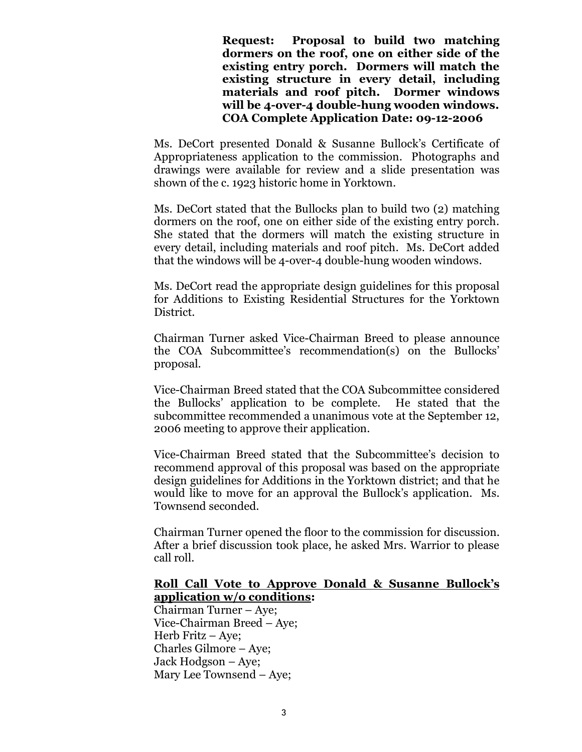**Request: Proposal to build two matching dormers on the roof, one on either side of the existing entry porch. Dormers will match the existing structure in every detail, including materials and roof pitch. Dormer windows will be 4-over-4 double-hung wooden windows. COA Complete Application Date: 09-12-2006**

Ms. DeCort presented Donald & Susanne Bullock's Certificate of Appropriateness application to the commission. Photographs and drawings were available for review and a slide presentation was shown of the c. 1923 historic home in Yorktown.

Ms. DeCort stated that the Bullocks plan to build two (2) matching dormers on the roof, one on either side of the existing entry porch. She stated that the dormers will match the existing structure in every detail, including materials and roof pitch. Ms. DeCort added that the windows will be 4-over-4 double-hung wooden windows.

Ms. DeCort read the appropriate design guidelines for this proposal for Additions to Existing Residential Structures for the Yorktown District.

Chairman Turner asked Vice-Chairman Breed to please announce the COA Subcommittee's recommendation(s) on the Bullocks' proposal.

Vice-Chairman Breed stated that the COA Subcommittee considered the Bullocks'application to be complete. He stated that the subcommittee recommended a unanimous vote at the September 12, 2006 meeting to approve their application.

Vice-Chairman Breed stated that the Subcommittee's decision to recommend approval of this proposal was based on the appropriate design guidelines for Additions in the Yorktown district; and that he would like to move for an approval the Bullock's application. Ms. Townsend seconded.

Chairman Turner opened the floor to the commission for discussion. After a brief discussion took place, he asked Mrs. Warrior to please call roll.

#### **Roll Call Vote to Approve Donald & Susanne Bullock's application w/o conditions:**

Chairman Turner – Aye; Vice-Chairman Breed – Aye; Herb Fritz –Aye; Charles Gilmore – Aye; Jack Hodgson – Aye; Mary Lee Townsend –Aye;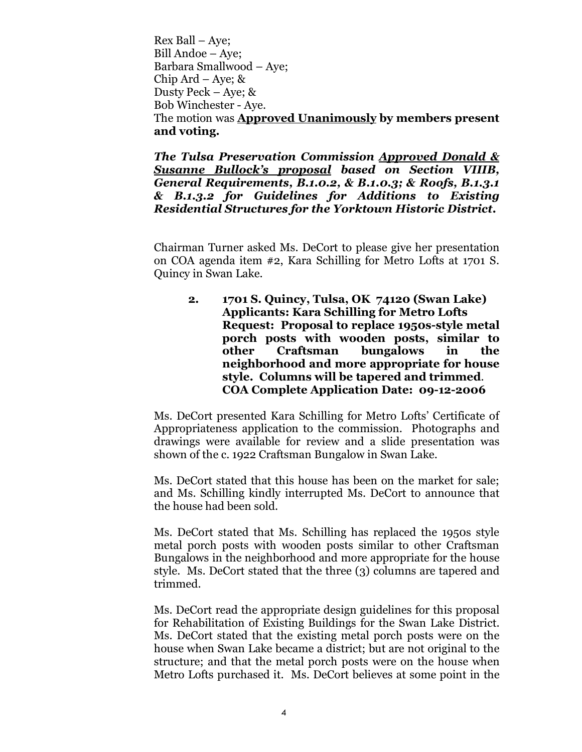Rex Ball – Aye; Bill Andoe – Aye; Barbara Smallwood – Aye; Chip Ard – Aye;  $\&$ Dusty Peck – Aye; & Bob Winchester - Aye. The motion was **Approved Unanimously by members present and voting.**

*The Tulsa Preservation Commission Approved Donald & Susanne Bullock's proposal based on Section VIIIB, General Requirements, B.1.0.2, & B.1.0.3; & Roofs, B.1.3.1 & B.1.3.2 for Guidelines for Additions to Existing Residential Structures for the Yorktown Historic District.*

Chairman Turner asked Ms. DeCort to please give her presentation on COA agenda item #2, Kara Schilling for Metro Lofts at 1701 S. Quincy in Swan Lake.

**2. 1701 S. Quincy, Tulsa, OK 74120 (Swan Lake) Applicants: Kara Schilling for Metro Lofts Request: Proposal to replace 1950s-style metal porch posts with wooden posts, similar to other Craftsman bungalows in the neighborhood and more appropriate for house style. Columns will be tapered and trimmed**. **COA Complete Application Date: 09-12-2006**

Ms. DeCort presented Kara Schilling for Metro Lofts'Certificate of Appropriateness application to the commission. Photographs and drawings were available for review and a slide presentation was shown of the c. 1922 Craftsman Bungalow in Swan Lake.

Ms. DeCort stated that this house has been on the market for sale; and Ms. Schilling kindly interrupted Ms. DeCort to announce that the house had been sold.

Ms. DeCort stated that Ms. Schilling has replaced the 1950s style metal porch posts with wooden posts similar to other Craftsman Bungalows in the neighborhood and more appropriate for the house style. Ms. DeCort stated that the three (3) columns are tapered and trimmed.

Ms. DeCort read the appropriate design guidelines for this proposal for Rehabilitation of Existing Buildings for the Swan Lake District. Ms. DeCort stated that the existing metal porch posts were on the house when Swan Lake became a district; but are not original to the structure; and that the metal porch posts were on the house when Metro Lofts purchased it. Ms. DeCort believes at some point in the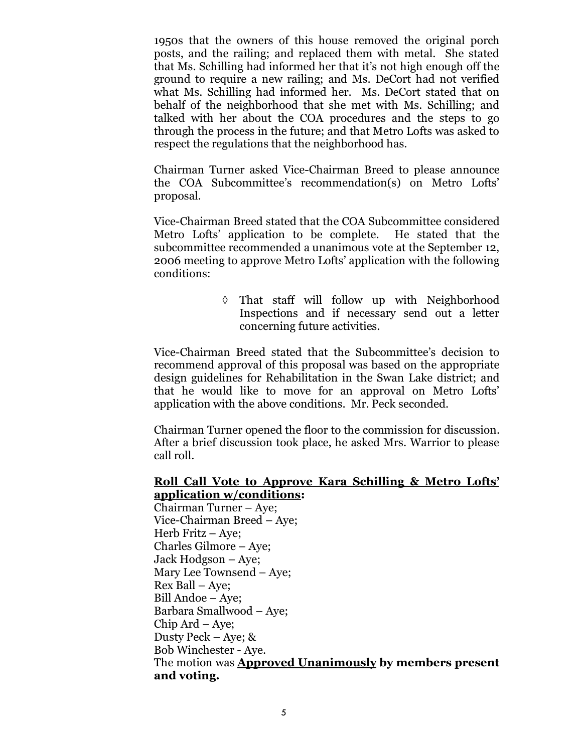1950s that the owners of this house removed the original porch posts, and the railing; and replaced them with metal. She stated that Ms. Schilling had informed her that it's not high enough off the ground to require a new railing; and Ms. DeCort had not verified what Ms. Schilling had informed her. Ms. DeCort stated that on behalf of the neighborhood that she met with Ms. Schilling; and talked with her about the COA procedures and the steps to go through the process in the future; and that Metro Lofts was asked to respect the regulations that the neighborhood has.

Chairman Turner asked Vice-Chairman Breed to please announce the COA Subcommittee's recommendation(s) on Metro Lofts' proposal.

Vice-Chairman Breed stated that the COA Subcommittee considered Metro Lofts'application to be complete. He stated that the subcommittee recommended a unanimous vote at the September 12, 2006 meeting to approve Metro Lofts'application with the following conditions:

> That staff will follow up with Neighborhood Inspections and if necessary send out a letter concerning future activities.

Vice-Chairman Breed stated that the Subcommittee's decision to recommend approval of this proposal was based on the appropriate design guidelines for Rehabilitation in the Swan Lake district; and that he would like to move for an approval on Metro Lofts' application with the above conditions. Mr. Peck seconded.

Chairman Turner opened the floor to the commission for discussion. After a brief discussion took place, he asked Mrs. Warrior to please call roll.

#### **Roll Call Vote to Approve Kara Schilling & Metro Lofts' application w/conditions:**

Chairman Turner – Aye; Vice-Chairman Breed – Aye; Herb Fritz – Aye; Charles Gilmore – Aye; Jack Hodgson – Aye; Mary Lee Townsend –Aye; Rex Ball – Aye; Bill Andoe – Aye; Barbara Smallwood – Aye; Chip Ard – Aye; Dusty Peck – Aye; & Bob Winchester - Aye. The motion was **Approved Unanimously by members present and voting.**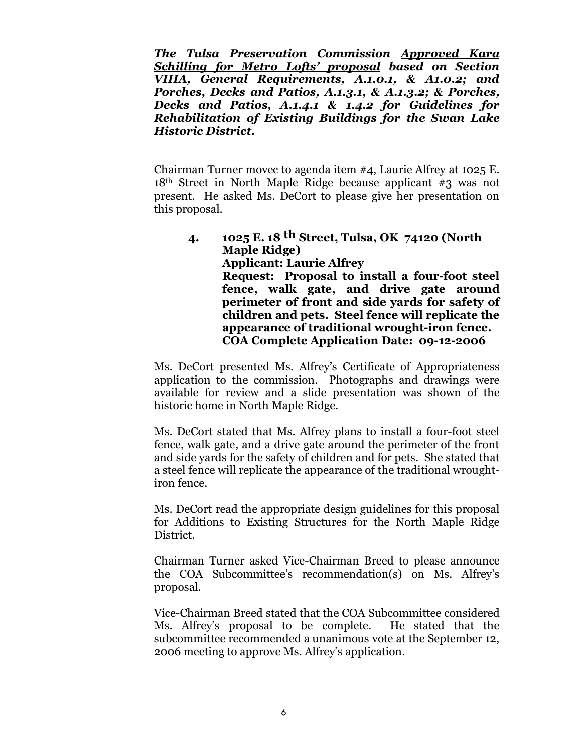*The Tulsa Preservation Commission Approved Kara Schilling for Metro Lofts'proposal based on Section VIIIA, General Requirements, A.1.0.1, & A1.0.2; and Porches, Decks and Patios, A.1.3.1, & A.1.3.2; & Porches, Decks and Patios, A.1.4.1 & 1.4.2 for Guidelines for Rehabilitation of Existing Buildings for the Swan Lake Historic District.*

Chairman Turner movec to agenda item #4, Laurie Alfrey at 1025 E. 18th Street in North Maple Ridge because applicant #3 was not present. He asked Ms. DeCort to please give her presentation on this proposal.

**4. 1025 E. 18 th Street, Tulsa, OK 74120 (North Maple Ridge) Applicant: Laurie Alfrey Request: Proposal to install a four-foot steel fence, walk gate, and drive gate around perimeter of front and side yards for safety of children and pets. Steel fence will replicate the appearance of traditional wrought-iron fence. COA Complete Application Date: 09-12-2006**

Ms. DeCort presented Ms. Alfrey's Certificate of Appropriateness application to the commission. Photographs and drawings were available for review and a slide presentation was shown of the historic home in North Maple Ridge.

Ms. DeCort stated that Ms. Alfrey plans to install a four-foot steel fence, walk gate, and a drive gate around the perimeter of the front and side yards for the safety of children and for pets. She stated that a steel fence will replicate the appearance of the traditional wroughtiron fence.

Ms. DeCort read the appropriate design guidelines for this proposal for Additions to Existing Structures for the North Maple Ridge District.

Chairman Turner asked Vice-Chairman Breed to please announce the COA Subcommittee's recommendation(s) on Ms. Alfrey's proposal.

Vice-Chairman Breed stated that the COA Subcommittee considered Ms. Alfrey's proposal to be complete. He stated that the subcommittee recommended a unanimous vote at the September 12, 2006 meeting to approve Ms. Alfrey's application.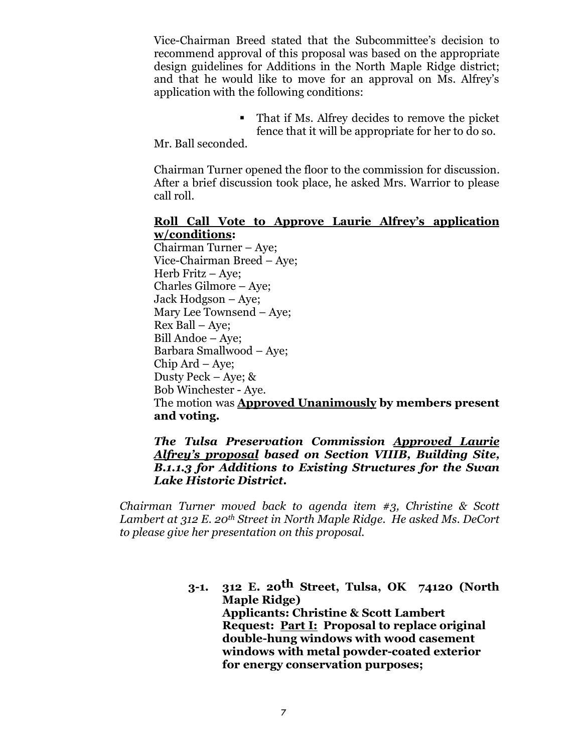Vice-Chairman Breed stated that the Subcommittee's decision to recommend approval of this proposal was based on the appropriate design guidelines for Additions in the North Maple Ridge district; and that he would like to move for an approval on Ms. Alfrey's application with the following conditions:

> That if Ms. Alfrey decides to remove the picket fence that it will be appropriate for her to do so.

Mr. Ball seconded.

Chairman Turner opened the floor to the commission for discussion. After a brief discussion took place, he asked Mrs. Warrior to please call roll.

#### **Roll Call Vote to Approve Laurie Alfrey's application w/conditions:**

Chairman Turner – Aye; Vice-Chairman Breed – Aye; Herb Fritz – Ave: Charles Gilmore – Aye; Jack Hodgson – Aye; Mary Lee Townsend –Aye; Rex Ball – Aye; Bill Andoe – Aye; Barbara Smallwood – Aye; Chip Ard – Aye; Dusty Peck – Aye; & Bob Winchester - Aye. The motion was **Approved Unanimously by members present and voting.**

#### *The Tulsa Preservation Commission Approved Laurie Alfrey's proposal based on Section VIIIB, Building Site, B.1.1.3 for Additions to Existing Structures for the Swan Lake Historic District.*

*Chairman Turner moved back to agenda item #3, Christine & Scott Lambert at 312 E. 20th Street in North Maple Ridge. He asked Ms. DeCort to please give her presentation on this proposal.*

> **3-1. 312 E. 20th Street, Tulsa, OK 74120 (North Maple Ridge) Applicants: Christine & Scott Lambert Request: Part I: Proposal to replace original double-hung windows with wood casement windows with metal powder-coated exterior for energy conservation purposes;**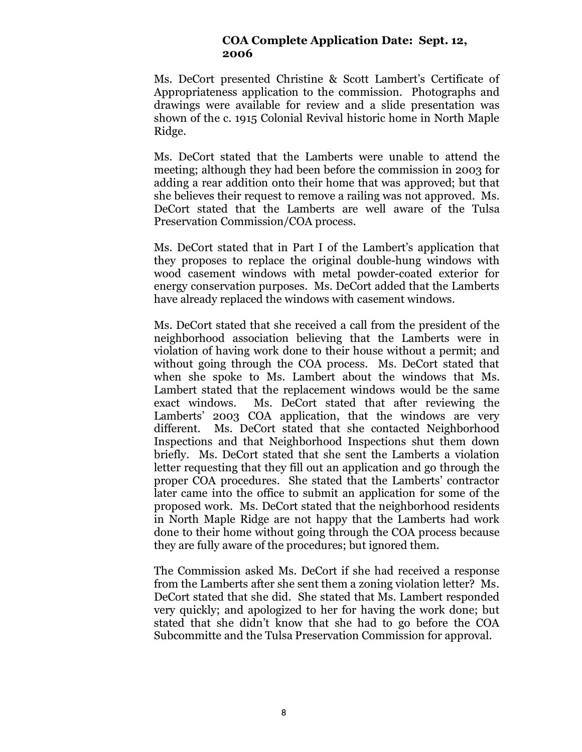#### **COA Complete Application Date: Sept. 12, 2006**

Ms. DeCort presented Christine & Scott Lambert's Certificate of Appropriateness application to the commission. Photographs and drawings were available for review and a slide presentation was shown of the c. 1915 Colonial Revival historic home in North Maple Ridge.

Ms. DeCort stated that the Lamberts were unable to attend the meeting; although they had been before the commission in 2003 for adding a rear addition onto their home that was approved; but that she believes their request to remove a railing was not approved. Ms. DeCort stated that the Lamberts are well aware of the Tulsa Preservation Commission/COA process.

Ms. DeCort stated that in Part I of the Lambert's application that they proposes to replace the original double-hung windows with wood casement windows with metal powder-coated exterior for energy conservation purposes. Ms. DeCort added that the Lamberts have already replaced the windows with casement windows.

Ms. DeCort stated that she received a call from the president of the neighborhood association believing that the Lamberts were in violation of having work done to their house without a permit; and without going through the COA process. Ms. DeCort stated that when she spoke to Ms. Lambert about the windows that Ms. Lambert stated that the replacement windows would be the same exact windows. Ms. DeCort stated that after reviewing the Lamberts' 2003 COA application, that the windows are very different. Ms. DeCort stated that she contacted Neighborhood Inspections and that Neighborhood Inspections shut them down briefly. Ms. DeCort stated that she sent the Lamberts a violation letter requesting that they fill out an application and go through the proper COA procedures. She stated that the Lamberts' contractor later came into the office to submit an application for some of the proposed work. Ms. DeCort stated that the neighborhood residents in North Maple Ridge are not happy that the Lamberts had work done to their home without going through the COA process because they are fully aware of the procedures; but ignored them.

The Commission asked Ms. DeCort if she had received a response from the Lamberts after she sent them a zoning violation letter? Ms. DeCort stated that she did. She stated that Ms. Lambert responded very quickly; and apologized to her for having the work done; but stated that she didn't know that she had to go before the COA Subcommitte and the Tulsa Preservation Commission for approval.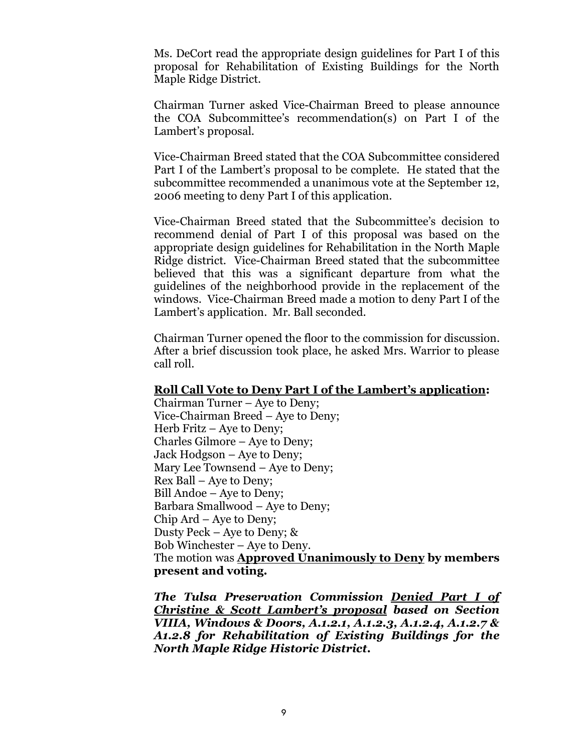Ms. DeCort read the appropriate design guidelines for Part I of this proposal for Rehabilitation of Existing Buildings for the North Maple Ridge District.

Chairman Turner asked Vice-Chairman Breed to please announce the COA Subcommittee's recommendation(s) on Part I of the Lambert's proposal.

Vice-Chairman Breed stated that the COA Subcommittee considered Part I of the Lambert's proposal to be complete. He stated that the subcommittee recommended a unanimous vote at the September 12, 2006 meeting to deny Part I of this application.

Vice-Chairman Breed stated that the Subcommittee's decision to recommend denial of Part I of this proposal was based on the appropriate design guidelines for Rehabilitation in the North Maple Ridge district. Vice-Chairman Breed stated that the subcommittee believed that this was a significant departure from what the guidelines of the neighborhood provide in the replacement of the windows. Vice-Chairman Breed made a motion to deny Part I of the Lambert's application. Mr. Ball seconded.

Chairman Turner opened the floor to the commission for discussion. After a brief discussion took place, he asked Mrs. Warrior to please call roll.

#### **Roll Call Vote to Deny Part I of the Lambert's application:**

Chairman Turner – Aye to Deny; Vice-Chairman Breed – Aye to Deny; Herb Fritz – Aye to Deny; Charles Gilmore – Aye to Deny; Jack Hodgson – Aye to Deny; Mary Lee Townsend – Aye to Deny; Rex Ball – Aye to Deny; Bill Andoe – Aye to Deny; Barbara Smallwood – Aye to Deny;  $Chip$  Ard – Aye to Deny; Dusty Peck – Aye to Deny; & Bob Winchester – Aye to Deny. The motion was **Approved Unanimously to Deny by members present and voting.**

*The Tulsa Preservation Commission Denied Part I of Christine & Scott Lambert's proposal based on Section VIIIA, Windows & Doors, A.1.2.1, A.1.2.3, A.1.2.4, A.1.2.7 & A1.2.8 for Rehabilitation of Existing Buildings for the North Maple Ridge Historic District.*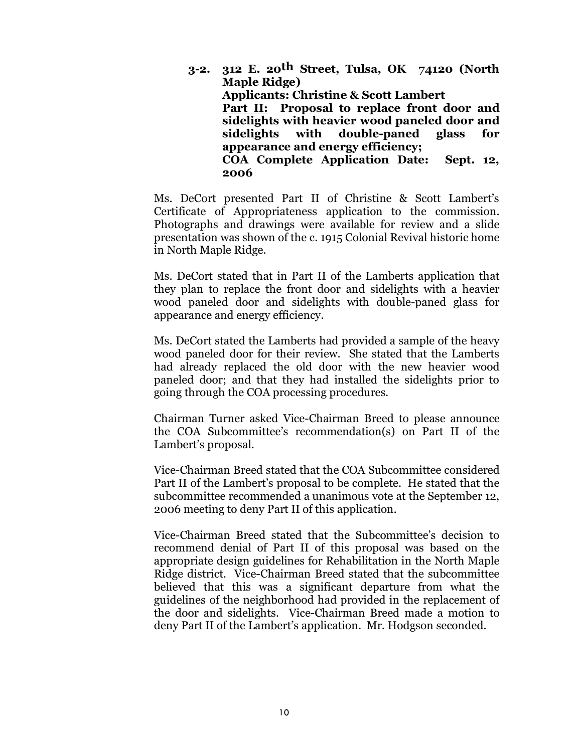**3-2. 312 E. 20th Street, Tulsa, OK 74120 (North Maple Ridge) Applicants: Christine & Scott Lambert Part II: Proposal to replace front door and sidelights with heavier wood paneled door and sidelights with double-paned glass for appearance and energy efficiency; COA Complete Application Date: Sept. 12, 2006**

Ms. DeCort presented Part II of Christine & Scott Lambert's Certificate of Appropriateness application to the commission. Photographs and drawings were available for review and a slide presentation was shown of the c. 1915 Colonial Revival historic home in North Maple Ridge.

Ms. DeCort stated that in Part II of the Lamberts application that they plan to replace the front door and sidelights with a heavier wood paneled door and sidelights with double-paned glass for appearance and energy efficiency.

Ms. DeCort stated the Lamberts had provided a sample of the heavy wood paneled door for their review. She stated that the Lamberts had already replaced the old door with the new heavier wood paneled door; and that they had installed the sidelights prior to going through the COA processing procedures.

Chairman Turner asked Vice-Chairman Breed to please announce the COA Subcommittee's recommendation(s) on Part II of the Lambert's proposal.

Vice-Chairman Breed stated that the COA Subcommittee considered Part II of the Lambert's proposal to be complete. He stated that the subcommittee recommended a unanimous vote at the September 12, 2006 meeting to deny Part II of this application.

Vice-Chairman Breed stated that the Subcommittee's decision to recommend denial of Part II of this proposal was based on the appropriate design guidelines for Rehabilitation in the North Maple Ridge district. Vice-Chairman Breed stated that the subcommittee believed that this was a significant departure from what the guidelines of the neighborhood had provided in the replacement of the door and sidelights. Vice-Chairman Breed made a motion to deny Part II of the Lambert's application. Mr. Hodgson seconded.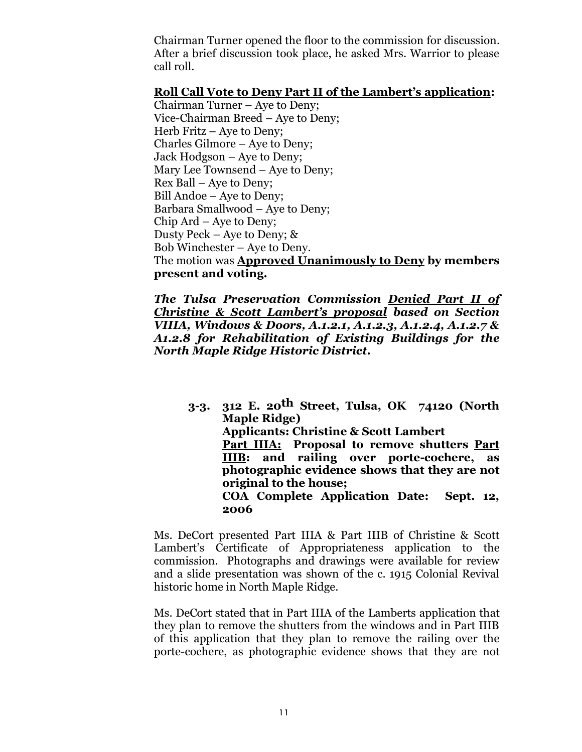Chairman Turner opened the floor to the commission for discussion. After a brief discussion took place, he asked Mrs. Warrior to please call roll.

#### **Roll Call Vote to Deny Part II of the Lambert's application:**

Chairman Turner – Aye to Deny; Vice-Chairman Breed – Aye to Deny; Herb Fritz – Aye to Deny; Charles Gilmore – Aye to Deny; Jack Hodgson – Aye to Deny; Mary Lee Townsend – Aye to Deny; Rex Ball – Aye to Deny; Bill Andoe – Aye to Deny; Barbara Smallwood – Aye to Deny; Chip Ard – Aye to Deny; Dusty Peck – Aye to Deny; & Bob Winchester – Aye to Deny. The motion was **Approved Unanimously to Deny by members present and voting.**

*The Tulsa Preservation Commission Denied Part II of Christine & Scott Lambert's proposal based on Section VIIIA, Windows & Doors, A.1.2.1, A.1.2.3, A.1.2.4, A.1.2.7 & A1.2.8 for Rehabilitation of Existing Buildings for the North Maple Ridge Historic District.*

**3-3. 312 E. 20th Street, Tulsa, OK 74120 (North Maple Ridge) Applicants: Christine & Scott Lambert Part IIIA: Proposal to remove shutters Part IIIB: and railing over porte-cochere, as photographic evidence shows that they are not original to the house; COA Complete Application Date: Sept. 12, 2006**

Ms. DeCort presented Part IIIA & Part IIIB of Christine & Scott Lambert's Certificate of Appropriateness application to the commission. Photographs and drawings were available for review and a slide presentation was shown of the c. 1915 Colonial Revival historic home in North Maple Ridge.

Ms. DeCort stated that in Part IIIA of the Lamberts application that they plan to remove the shutters from the windows and in Part IIIB of this application that they plan to remove the railing over the porte-cochere, as photographic evidence shows that they are not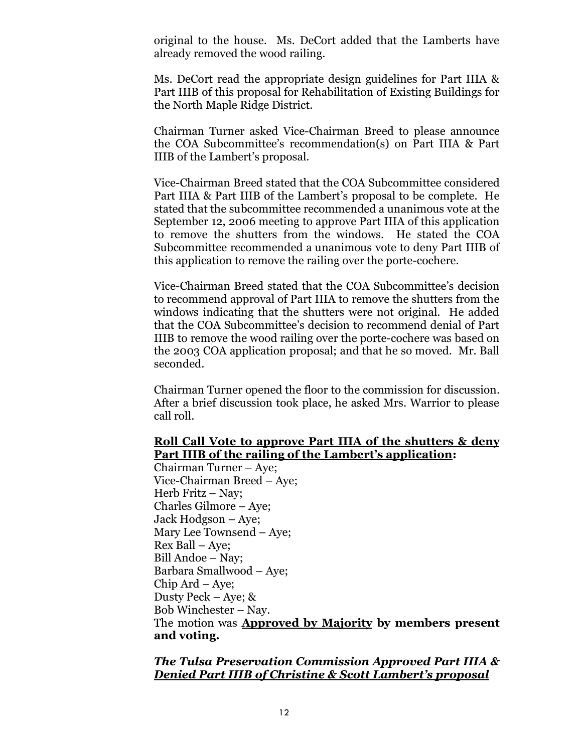original to the house. Ms. DeCort added that the Lamberts have already removed the wood railing.

Ms. DeCort read the appropriate design guidelines for Part IIIA & Part IIIB of this proposal for Rehabilitation of Existing Buildings for the North Maple Ridge District.

Chairman Turner asked Vice-Chairman Breed to please announce the COA Subcommittee's recommendation(s) on Part IIIA & Part IIIB of the Lambert's proposal.

Vice-Chairman Breed stated that the COA Subcommittee considered Part IIIA & Part IIIB of the Lambert's proposal to be complete. He stated that the subcommittee recommended a unanimous vote at the September 12, 2006 meeting to approve Part IIIA of this application to remove the shutters from the windows. He stated the COA Subcommittee recommended a unanimous vote to deny Part IIIB of this application to remove the railing over the porte-cochere.

Vice-Chairman Breed stated that the COA Subcommittee's decision to recommend approval of Part IIIA to remove the shutters from the windows indicating that the shutters were not original. He added that the COA Subcommittee's decision to recommend denial of Part IIIB to remove the wood railing over the porte-cochere was based on the 2003 COA application proposal; and that he so moved. Mr. Ball seconded.

Chairman Turner opened the floor to the commission for discussion. After a brief discussion took place, he asked Mrs. Warrior to please call roll.

## **Roll Call Vote to approve Part IIIA of the shutters & deny Part IIIB of the railing of the Lambert's application:**

Chairman Turner – Aye; Vice-Chairman Breed – Aye; Herb Fritz - Nav: Charles Gilmore – Aye; Jack Hodgson – Aye; Mary Lee Townsend –Aye; Rex Ball – Aye; Bill Andoe – Nay; Barbara Smallwood – Aye; Chip Ard – Aye; Dusty Peck – Aye; & Bob Winchester –Nay. The motion was **Approved by Majority by members present and voting.**

#### *The Tulsa Preservation Commission Approved Part IIIA & Denied Part IIIB of Christine & Scott Lambert's proposal*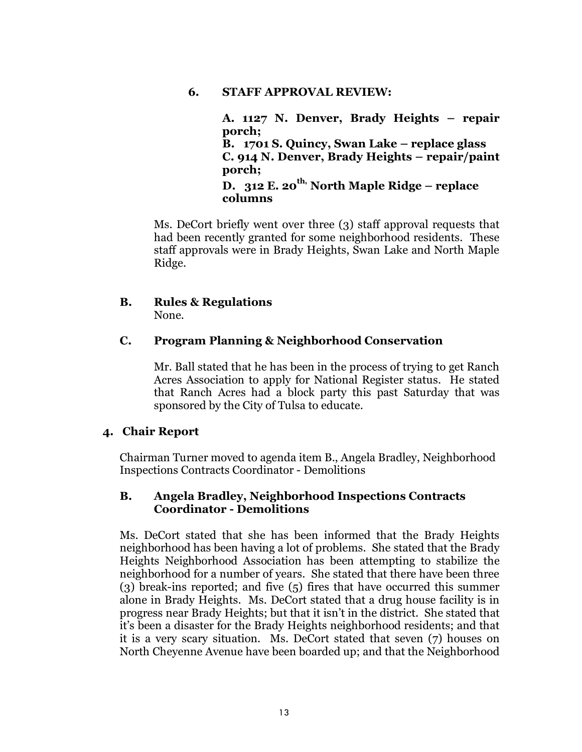#### **6. STAFF APPROVAL REVIEW:**

**A. 1127 N. Denver, Brady Heights – repair porch; B. 1701 S. Quincy, Swan Lake – replace glass C. 914 N. Denver, Brady Heights – repair/paint porch; D. 312 E. 20th, North Maple Ridge – replace columns**

Ms. DeCort briefly went over three (3) staff approval requests that had been recently granted for some neighborhood residents. These staff approvals were in Brady Heights, Swan Lake and North Maple Ridge.

#### **B. Rules & Regulations** None.

#### **C. Program Planning & Neighborhood Conservation**

Mr. Ball stated that he has been in the process of trying to get Ranch Acres Association to apply for National Register status. He stated that Ranch Acres had a block party this past Saturday that was sponsored by the City of Tulsa to educate.

#### **4. Chair Report**

Chairman Turner moved to agenda item B., Angela Bradley, Neighborhood Inspections Contracts Coordinator - Demolitions

## **B. Angela Bradley, Neighborhood Inspections Contracts Coordinator - Demolitions**

Ms. DeCort stated that she has been informed that the Brady Heights neighborhood has been having a lot of problems. She stated that the Brady Heights Neighborhood Association has been attempting to stabilize the neighborhood for a number of years. She stated that there have been three (3) break-ins reported; and five (5) fires that have occurred this summer alone in Brady Heights. Ms. DeCort stated that a drug house facility is in progress near Brady Heights; but that it isn't in the district. She stated that it's been a disaster for the Brady Heights neighborhood residents; and that it is a very scary situation. Ms. DeCort stated that seven (7) houses on North Cheyenne Avenue have been boarded up; and that the Neighborhood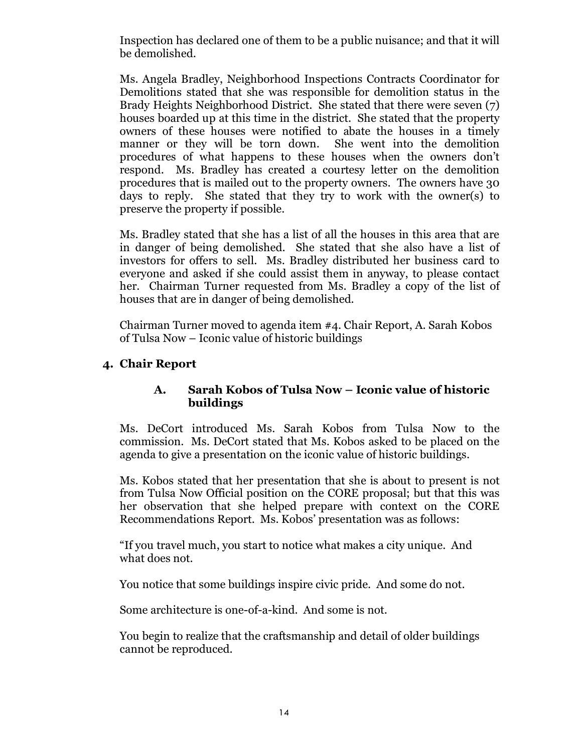Inspection has declared one of them to be a public nuisance; and that it will be demolished.

Ms. Angela Bradley, Neighborhood Inspections Contracts Coordinator for Demolitions stated that she was responsible for demolition status in the Brady Heights Neighborhood District. She stated that there were seven (7) houses boarded up at this time in the district. She stated that the property owners of these houses were notified to abate the houses in a timely manner or they will be torn down. She went into the demolition procedures of what happens to these houses when the owners don't respond. Ms. Bradley has created a courtesy letter on the demolition procedures that is mailed out to the property owners. The owners have 30 days to reply. She stated that they try to work with the owner(s) to preserve the property if possible.

Ms. Bradley stated that she has a list of all the houses in this area that are in danger of being demolished. She stated that she also have a list of investors for offers to sell. Ms. Bradley distributed her business card to everyone and asked if she could assist them in anyway, to please contact her. Chairman Turner requested from Ms. Bradley a copy of the list of houses that are in danger of being demolished.

Chairman Turner moved to agenda item #4. Chair Report, A. Sarah Kobos of Tulsa Now – Iconic value of historic buildings

# **4. Chair Report**

## **A. Sarah Kobos of Tulsa Now – Iconic value of historic buildings**

Ms. DeCort introduced Ms. Sarah Kobos from Tulsa Now to the commission. Ms. DeCort stated that Ms. Kobos asked to be placed on the agenda to give a presentation on the iconic value of historic buildings.

Ms. Kobos stated that her presentation that she is about to present is not from Tulsa Now Official position on the CORE proposal; but that this was her observation that she helped prepare with context on the CORE Recommendations Report. Ms. Kobos' presentation was as follows:

"If you travel much, you start to notice what makes a city unique. And what does not.

You notice that some buildings inspire civic pride. And some do not.

Some architecture is one-of-a-kind. And some is not.

You begin to realize that the craftsmanship and detail of older buildings cannot be reproduced.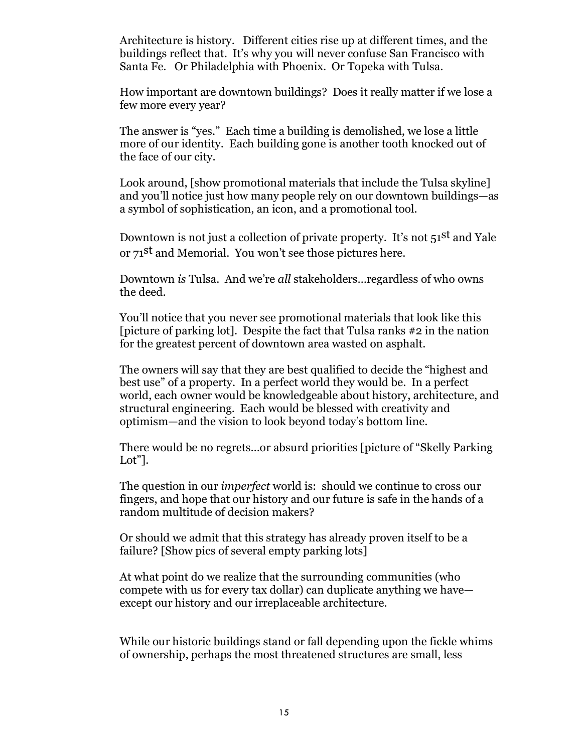Architecture is history. Different cities rise up at different times, and the buildings reflect that. It's why you will never confuse San Francisco with Santa Fe. Or Philadelphia with Phoenix. Or Topeka with Tulsa.

How important are downtown buildings? Does it really matter if we lose a few more every year?

The answer is "yes." Each time a building is demolished, we lose a little more of our identity. Each building gone is another tooth knocked out of the face of our city.

Look around, [show promotional materials that include the Tulsa skyline] and you'll notice just how many people rely on our downtown buildings—as a symbol of sophistication, an icon, and a promotional tool.

Downtown is not just a collection of private property. It's not 51<sup>st</sup> and Yale or 71<sup>st</sup> and Memorial. You won't see those pictures here.

Downtown *is* Tulsa. And we're *all* stakeholders…regardless of who owns the deed.

You'll notice that you never see promotional materials that look like this [picture of parking lot]. Despite the fact that Tulsa ranks #2 in the nation for the greatest percent of downtown area wasted on asphalt.

The owners will say that they are best qualified to decide the "highest and best use" of a property. In a perfect world they would be. In a perfect world, each owner would be knowledgeable about history, architecture, and structural engineering. Each would be blessed with creativity and optimism—and the vision to look beyond today's bottom line.

There would be no regrets…or absurd priorities [picture of "Skelly Parking Lot"].

The question in our *imperfect* world is: should we continue to cross our fingers, and hope that our history and our future is safe in the hands of a random multitude of decision makers?

Or should we admit that this strategy has already proven itself to be a failure? [Show pics of several empty parking lots]

At what point do we realize that the surrounding communities (who compete with us for every tax dollar) can duplicate anything we have except our history and our irreplaceable architecture.

While our historic buildings stand or fall depending upon the fickle whims of ownership, perhaps the most threatened structures are small, less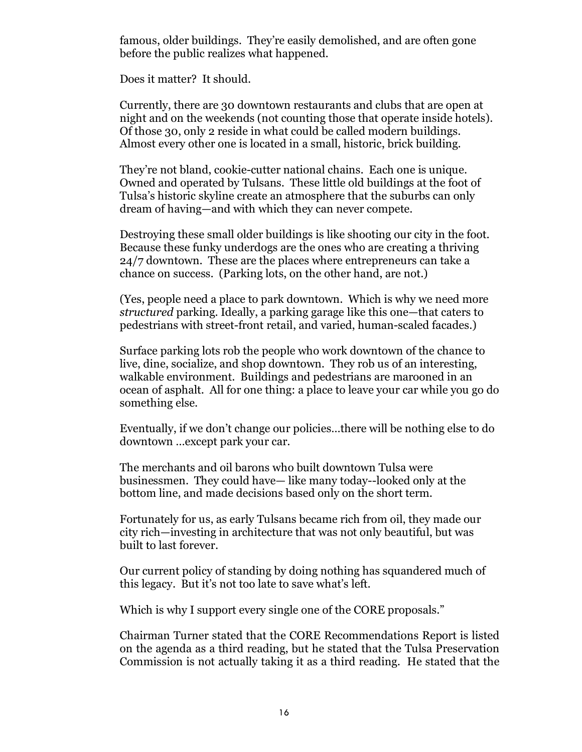famous, older buildings. They're easily demolished, and are often gone before the public realizes what happened.

Does it matter? It should.

Currently, there are 30 downtown restaurants and clubs that are open at night and on the weekends (not counting those that operate inside hotels). Of those 30, only 2 reside in what could be called modern buildings. Almost every other one is located in a small, historic, brick building.

They're not bland, cookie-cutter national chains. Each one is unique. Owned and operated by Tulsans. These little old buildings at the foot of Tulsa's historic skyline create an atmosphere that the suburbs can only dream of having—and with which they can never compete.

Destroying these small older buildings is like shooting our city in the foot. Because these funky underdogs are the ones who are creating a thriving 24/7 downtown. These are the places where entrepreneurs can take a chance on success. (Parking lots, on the other hand, are not.)

(Yes, people need a place to park downtown. Which is why we need more *structured* parking. Ideally, a parking garage like this one—that caters to pedestrians with street-front retail, and varied, human-scaled facades.)

Surface parking lots rob the people who work downtown of the chance to live, dine, socialize, and shop downtown. They rob us of an interesting, walkable environment. Buildings and pedestrians are marooned in an ocean of asphalt. All for one thing: a place to leave your car while you go do something else.

Eventually, if we don't change our policies…there will be nothing else to do downtown …except park your car.

The merchants and oil barons who built downtown Tulsa were businessmen. They could have— like many today--looked only at the bottom line, and made decisions based only on the short term.

Fortunately for us, as early Tulsans became rich from oil, they made our city rich—investing in architecture that was not only beautiful, but was built to last forever.

Our current policy of standing by doing nothing has squandered much of this legacy. But it's not too late to save what's left.

Which is why I support every single one of the CORE proposals."

Chairman Turner stated that the CORE Recommendations Report is listed on the agenda as a third reading, but he stated that the Tulsa Preservation Commission is not actually taking it as a third reading. He stated that the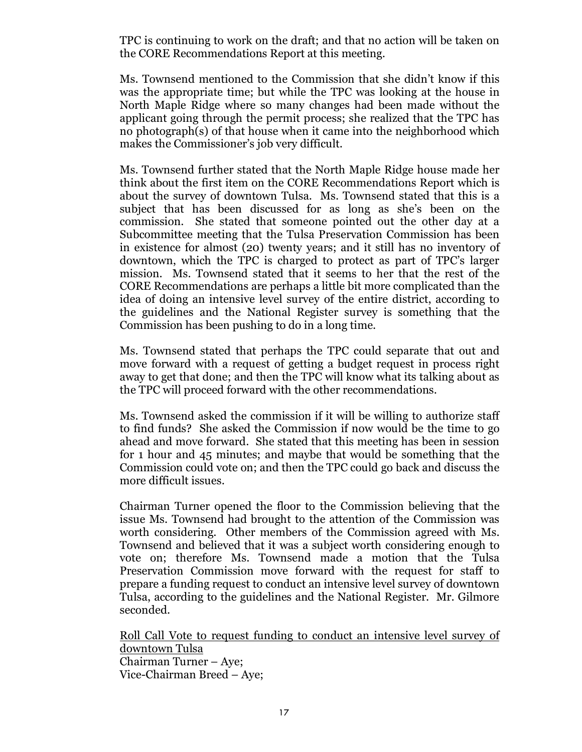TPC is continuing to work on the draft; and that no action will be taken on the CORE Recommendations Report at this meeting.

Ms. Townsend mentioned to the Commission that she didn't know if this was the appropriate time; but while the TPC was looking at the house in North Maple Ridge where so many changes had been made without the applicant going through the permit process; she realized that the TPC has no photograph(s) of that house when it came into the neighborhood which makes the Commissioner's job very difficult.

Ms. Townsend further stated that the North Maple Ridge house made her think about the first item on the CORE Recommendations Report which is about the survey of downtown Tulsa. Ms. Townsend stated that this is a subject that has been discussed for as long as she's been on the commission. She stated that someone pointed out the other day at a Subcommittee meeting that the Tulsa Preservation Commission has been in existence for almost (20) twenty years; and it still has no inventory of downtown, which the TPC is charged to protect as part of TPC's larger mission. Ms. Townsend stated that it seems to her that the rest of the CORE Recommendations are perhaps a little bit more complicated than the idea of doing an intensive level survey of the entire district, according to the guidelines and the National Register survey is something that the Commission has been pushing to do in a long time.

Ms. Townsend stated that perhaps the TPC could separate that out and move forward with a request of getting a budget request in process right away to get that done; and then the TPC will know what its talking about as the TPC will proceed forward with the other recommendations.

Ms. Townsend asked the commission if it will be willing to authorize staff to find funds? She asked the Commission if now would be the time to go ahead and move forward. She stated that this meeting has been in session for 1 hour and 45 minutes; and maybe that would be something that the Commission could vote on; and then the TPC could go back and discuss the more difficult issues.

Chairman Turner opened the floor to the Commission believing that the issue Ms. Townsend had brought to the attention of the Commission was worth considering. Other members of the Commission agreed with Ms. Townsend and believed that it was a subject worth considering enough to vote on; therefore Ms. Townsend made a motion that the Tulsa Preservation Commission move forward with the request for staff to prepare a funding request to conduct an intensive level survey of downtown Tulsa, according to the guidelines and the National Register. Mr. Gilmore seconded.

Roll Call Vote to request funding to conduct an intensive level survey of downtown Tulsa Chairman Turner – Aye; Vice-Chairman Breed – Aye;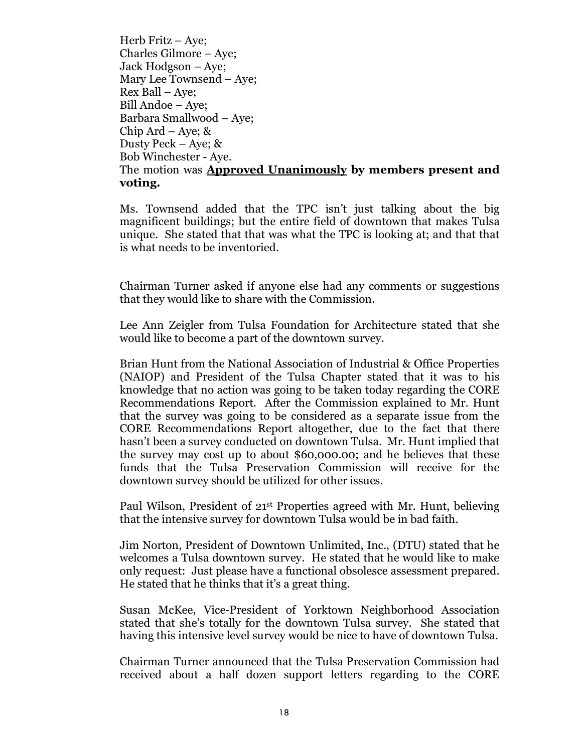Herb Fritz –Aye; Charles Gilmore – Aye; Jack Hodgson – Aye; Mary Lee Townsend –Aye; Rex Ball – Aye; Bill Andoe – Aye; Barbara Smallwood – Aye; Chip Ard – Aye;  $\&$ Dusty Peck – Aye; & Bob Winchester - Aye. The motion was **Approved Unanimously by members present and voting.**

Ms. Townsend added that the TPC isn't just talking about the big magnificent buildings; but the entire field of downtown that makes Tulsa unique. She stated that that was what the TPC is looking at; and that that is what needs to be inventoried.

Chairman Turner asked if anyone else had any comments or suggestions that they would like to share with the Commission.

Lee Ann Zeigler from Tulsa Foundation for Architecture stated that she would like to become a part of the downtown survey.

Brian Hunt from the National Association of Industrial & Office Properties (NAIOP) and President of the Tulsa Chapter stated that it was to his knowledge that no action was going to be taken today regarding the CORE Recommendations Report. After the Commission explained to Mr. Hunt that the survey was going to be considered as a separate issue from the CORE Recommendations Report altogether, due to the fact that there hasn't been a survey conducted on downtown Tulsa. Mr. Hunt implied that the survey may cost up to about \$60,000.00; and he believes that these funds that the Tulsa Preservation Commission will receive for the downtown survey should be utilized for other issues.

Paul Wilson, President of 21st Properties agreed with Mr. Hunt, believing that the intensive survey for downtown Tulsa would be in bad faith.

Jim Norton, President of Downtown Unlimited, Inc., (DTU) stated that he welcomes a Tulsa downtown survey. He stated that he would like to make only request: Just please have a functional obsolesce assessment prepared. He stated that he thinks that it's a great thing.

Susan McKee, Vice-President of Yorktown Neighborhood Association stated that she's totally for the downtown Tulsa survey. She stated that having this intensive level survey would be nice to have of downtown Tulsa.

Chairman Turner announced that the Tulsa Preservation Commission had received about a half dozen support letters regarding to the CORE